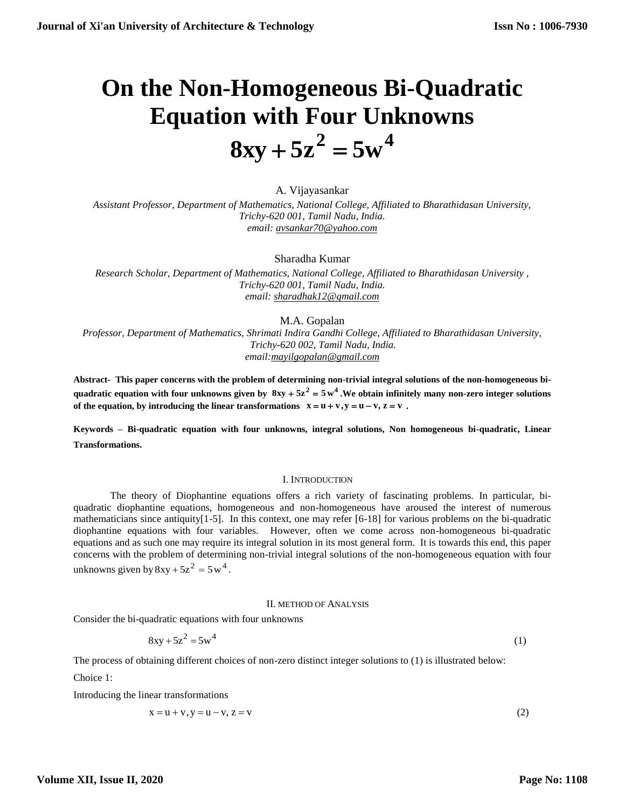# **On the Non-Homogeneous Bi-Quadratic Equation with Four Unknowns**  $8xy + 5z^2 = 5w^4$

A. Vijayasankar *Assistant Professor, Department of Mathematics, National College, Affiliated to Bharathidasan University, Trichy-620 001, Tamil Nadu, India. email: [avsankar70@yahoo.com](mailto:avsankar70@yahoo.com)*

Sharadha Kumar

*Research Scholar, Department of Mathematics, National College, Affiliated to Bharathidasan University , Trichy-620 001, Tamil Nadu, India. email: [sharadhak12@gmail.com](mailto:sharadhak12@gmail.com)*

M.A. Gopalan

*Professor, Department of Mathematics, Shrimati Indira Gandhi College, Affiliated to Bharathidasan University, Trichy-620 002, Tamil Nadu, India. email[:mayilgopalan@gmail.com](mailto:mayilgopalan@gmail.com)*

**Abstract- This paper concerns with the problem of determining non-trivial integral solutions of the non-homogeneous bi**quadratic equation with four unknowns given by  $8xy + 5z^2 = 5w^4$ . We obtain infinitely many non-zero integer solutions **of the equation, by introducing the linear transformations**  $x = u + v$ **,**  $y = u - v$ **,**  $z = v$ **.** 

**Keywords – Bi-quadratic equation with four unknowns, integral solutions, Non homogeneous bi-quadratic, Linear Transformations.**

#### I. INTRODUCTION

The theory of Diophantine equations offers a rich variety of fascinating problems. In particular, biquadratic diophantine equations, homogeneous and non-homogeneous have aroused the interest of numerous mathematicians since antiquity[1-5]. In this context, one may refer [6-18] for various problems on the bi-quadratic diophantine equations with four variables. However, often we come across non-homogeneous bi-quadratic equations and as such one may require its integral solution in its most general form. It is towards this end, this paper concerns with the problem of determining non-trivial integral solutions of the non-homogeneous equation with four unknowns given by  $8xy + 5z^2 = 5w^4$ .

#### II. METHOD OF ANALYSIS

Consider the bi-quadratic equations with four unknowns

$$
8xy + 5z^2 = 5w^4
$$
 (1)

The process of obtaining different choices of non-zero distinct integer solutions to (1) is illustrated below:

Choice 1:

Introducing the linear transformations

$$
x = u + v, y = u - v, z = v \tag{2}
$$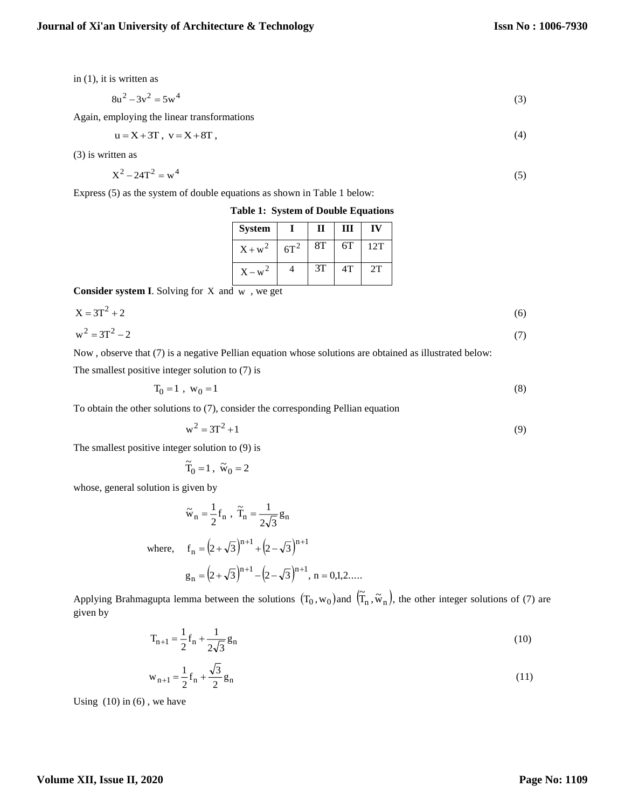in (1), it is written as

$$
8u^2 - 3v^2 = 5w^4 \tag{3}
$$

Again, employing the linear transformations

$$
u = X + 3T, \quad v = X + 8T \tag{4}
$$

(3) is written as

$$
X^2 - 24T^2 = w^4 \tag{5}
$$

Express (5) as the system of double equations as shown in Table 1 below:

**Table 1: System of Double Equations**

| <b>System</b> |        | П  | Ш  | IV  |
|---------------|--------|----|----|-----|
| $X + w^2$     | $6T^2$ | 8T | 6T | 12T |
| $X - w^2$     |        | 3T | 4T | 2T  |

**Consider system I**. Solving for X and w , we get

$$
X = 3T^2 + 2\tag{6}
$$

$$
w^2 = 3T^2 - 2 \tag{7}
$$

Now , observe that (7) is a negative Pellian equation whose solutions are obtained as illustrated below: The smallest positive integer solution to (7) is

$$
T_0 = 1 \, , \, w_0 = 1 \tag{8}
$$

To obtain the other solutions to (7), consider the corresponding Pellian equation

$$
w^2 = 3T^2 + 1 \tag{9}
$$

The smallest positive integer solution to (9) is

$$
\widetilde{T}_0 = 1 , \ \widetilde{w}_0 = 2
$$

whose, general solution is given by

$$
\tilde{w}_n = \frac{1}{2} f_n , \ \tilde{T}_n = \frac{1}{2\sqrt{3}} g_n
$$
\nwhere,  $f_n = (2 + \sqrt{3})^{n+1} + (2 - \sqrt{3})^{n+1}$   
\n $g_n = (2 + \sqrt{3})^{n+1} - (2 - \sqrt{3})^{n+1}, n = 0, 1, 2, ....$ 

Applying Brahmagupta lemma between the solutions  $(T_0, w_0)$  and  $(\tilde{T}_n, \tilde{w}_n)$ , the other integer solutions of (7) are given by

$$
T_{n+1} = \frac{1}{2} f_n + \frac{1}{2\sqrt{3}} g_n
$$
\n(10)

$$
w_{n+1} = \frac{1}{2} f_n + \frac{\sqrt{3}}{2} g_n
$$
 (11)

Using  $(10)$  in  $(6)$ , we have

# **Volume XII, Issue II, 2020**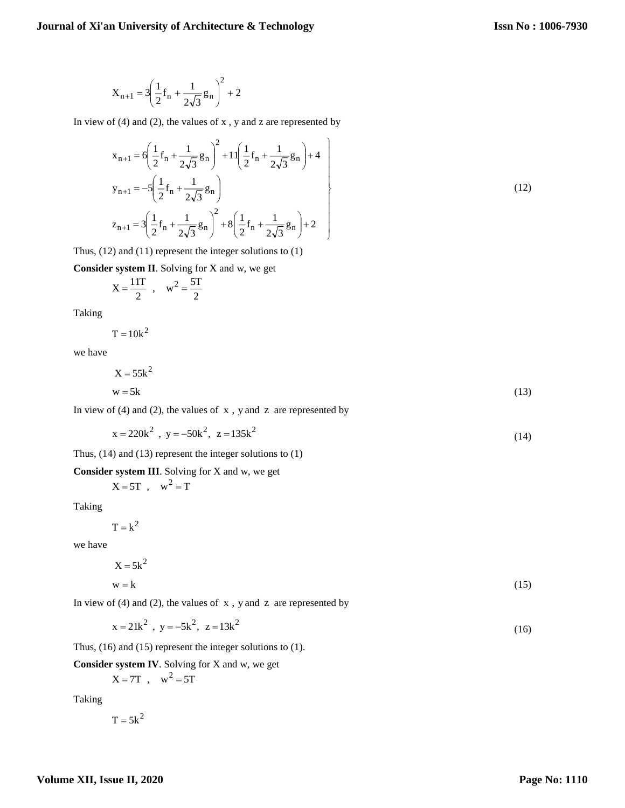$$
X_{n+1} = 3\left(\frac{1}{2}f_n + \frac{1}{2\sqrt{3}}g_n\right)^2 + 2
$$

In view of  $(4)$  and  $(2)$ , the values of x, y and z are represented by

$$
x_{n+1} = 6\left(\frac{1}{2}f_n + \frac{1}{2\sqrt{3}}g_n\right)^2 + 11\left(\frac{1}{2}f_n + \frac{1}{2\sqrt{3}}g_n\right) + 4
$$
  
\n
$$
y_{n+1} = -5\left(\frac{1}{2}f_n + \frac{1}{2\sqrt{3}}g_n\right)
$$
  
\n
$$
z_{n+1} = 3\left(\frac{1}{2}f_n + \frac{1}{2\sqrt{3}}g_n\right)^2 + 8\left(\frac{1}{2}f_n + \frac{1}{2\sqrt{3}}g_n\right) + 2
$$
\n(12)

Thus, (12) and (11) represent the integer solutions to (1)

**Consider system II**. Solving for X and w, we get

$$
X = \frac{11T}{2} , \quad w^2 = \frac{5T}{2}
$$

Taking

$$
T = 10k^2
$$

we have

$$
X = 55k^2
$$
  
w = 5k (13)

In view of  $(4)$  and  $(2)$ , the values of  $x$ , y and  $z$  are represented by

$$
x = 220k^2, y = -50k^2, z = 135k^2
$$
 (14)

Thus, (14) and (13) represent the integer solutions to (1)

**Consider system III**. Solving for X and w, we get

 $X = 5T$ ,  $w^2 = T$ 

Taking

 $T = k^2$ 

we have

$$
X = 5k^2
$$
  
w = k (15)

In view of  $(4)$  and  $(2)$ , the values of  $x$ , y and  $z$  are represented by

$$
x = 21k^2, y = -5k^2, z = 13k^2
$$
 (16)

Thus, (16) and (15) represent the integer solutions to (1).

**Consider system IV**. Solving for X and w, we get

$$
X = 7T \ , \quad w^2 = 5T
$$

Taking

 $T = 5k^2$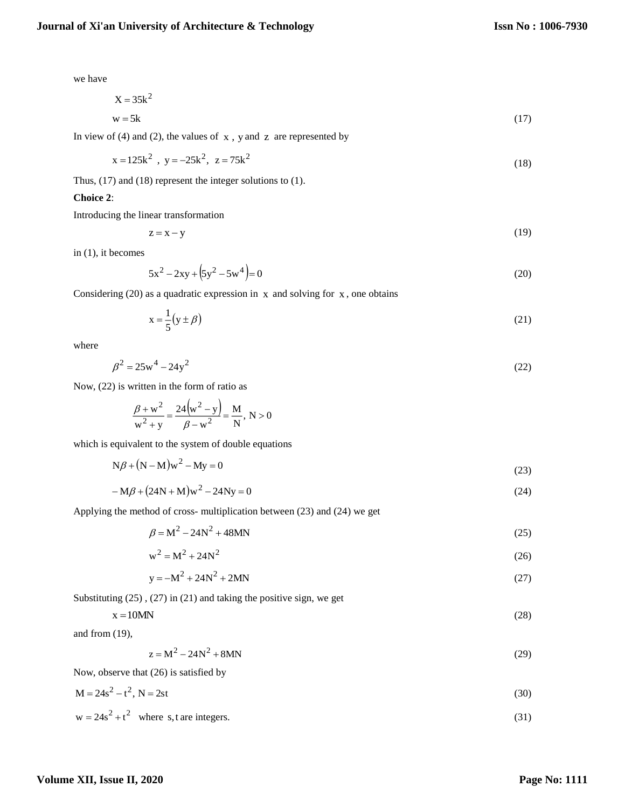we have

$$
X = 35k^2
$$
  
 
$$
w = 5k
$$
 (17)

In view of  $(4)$  and  $(2)$ , the values of  $x$ , y and  $z$  are represented by

$$
x = 125k^2, y = -25k^2, z = 75k^2
$$
 (18)

Thus, (17) and (18) represent the integer solutions to (1).

### **Choice 2**:

Introducing the linear transformation

$$
z = x - y \tag{19}
$$

in (1), it becomes

$$
5x^2 - 2xy + (5y^2 - 5w^4) = 0
$$
\n(20)

Considering  $(20)$  as a quadratic expression in x and solving for x, one obtains

$$
x = \frac{1}{5}(y \pm \beta) \tag{21}
$$

where

$$
\beta^2 = 25w^4 - 24y^2 \tag{22}
$$

Now, (22) is written in the form of ratio as

$$
\frac{\beta + w^2}{w^2 + y} = \frac{24(w^2 - y)}{\beta - w^2} = \frac{M}{N}, N > 0
$$

which is equivalent to the system of double equations

$$
N\beta + (N - M)w2 - My = 0
$$
\n(23)

$$
-M\beta + (24N + M)w^{2} - 24Ny = 0
$$
\n(24)

Applying the method of cross- multiplication between (23) and (24) we get

$$
\beta = M^2 - 24N^2 + 48MN
$$
\n(25)

$$
w^2 = M^2 + 24N^2 \tag{26}
$$

$$
y = -M^2 + 24N^2 + 2MN
$$
 (27)

Substituting (25) , (27) in (21) and taking the positive sign, we get

$$
x = 10MN
$$
 (28)

and from (19),

$$
z = M^2 - 24N^2 + 8MN
$$
 (29)

Now, observe that (26) is satisfied by

$$
M = 24s^2 - t^2, N = 2st
$$
 (30)

$$
w = 24s^2 + t^2 \quad \text{where } s, t \text{ are integers.} \tag{31}
$$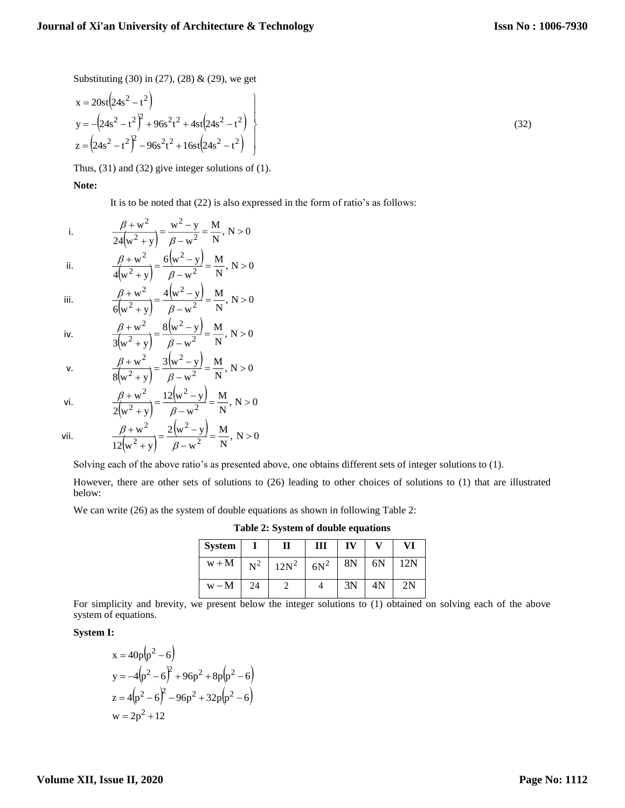Substituting (30) in (27), (28) & (29), we get

$$
x = 20st(24s2 - t2)
$$
  
\n
$$
y = -(24s2 - t2)2 + 96s2t2 + 4st(24s2 - t2)
$$
  
\n
$$
z = (24s2 - t2)2 - 96s2t2 + 16st(24s2 - t2)
$$
\n(32)

Thus, (31) and (32) give integer solutions of (1).

# **Note:**

It is to be noted that (22) is also expressed in the form of ratio's as follows:

i. 
$$
\frac{\beta + w^2}{24(w^2 + y)} = \frac{w^2 - y}{\beta - w^2} = \frac{M}{N}, N > 0
$$

ii. 
$$
\frac{\beta + w^2}{4(w^2 + y)} = \frac{6(w^2 - y)}{\beta - w^2} = \frac{M}{N}, N > 0
$$

iii. 
$$
\frac{\beta + w^2}{6(w^2 + y)} = \frac{4(w^2 - y)}{\beta - w^2} = \frac{M}{N}, N > 0
$$

iv. 
$$
\frac{\beta + w^2}{3(w^2 + y)} = \frac{8(w^2 - y)}{\beta - w^2} = \frac{M}{N}, N > 0
$$

v. 
$$
\frac{\beta + w^2}{8(w^2 + y)} = \frac{3(w^2 - y)}{\beta - w^2} = \frac{M}{N}, N > 0
$$

vi. 
$$
\frac{\beta + w^2}{2(w^2 + y)} = \frac{12(w^2 - y)}{\beta - w^2} = \frac{M}{N}, N > 0
$$

$$
2(w + y) = p -
$$
  

$$
\beta + w^2 = 2(w^2)
$$

vii.

$$
\frac{\beta + w^2}{12(w^2 + y)} = \frac{2(w^2 - y)}{\beta - w^2} = \frac{M}{N}, N > 0
$$

Solving each of the above ratio's as presented above, one obtains different sets of integer solutions to (1).

However, there are other sets of solutions to (26) leading to other choices of solutions to (1) that are illustrated below:

We can write (26) as the system of double equations as shown in following Table 2:

**Table 2: System of double equations**

| <b>System</b> |       |         | Ш      | IV |    | VI  |
|---------------|-------|---------|--------|----|----|-----|
| $w + M$       | $N^2$ | $12N^2$ | $6N^2$ | 8N | 6N | 12N |
| $W - M$       | 24    |         |        | 3N | 4N | 2N  |

For simplicity and brevity, we present below the integer solutions to (1) obtained on solving each of the above system of equations.

## **System I:**

$$
x = 40p(p2 - 6)
$$
  
\n
$$
y = -4(p2 - 6)2 + 96p2 + 8p(p2 - 6)
$$
  
\n
$$
z = 4(p2 - 6)2 - 96p2 + 32p(p2 - 6)
$$
  
\n
$$
w = 2p2 + 12
$$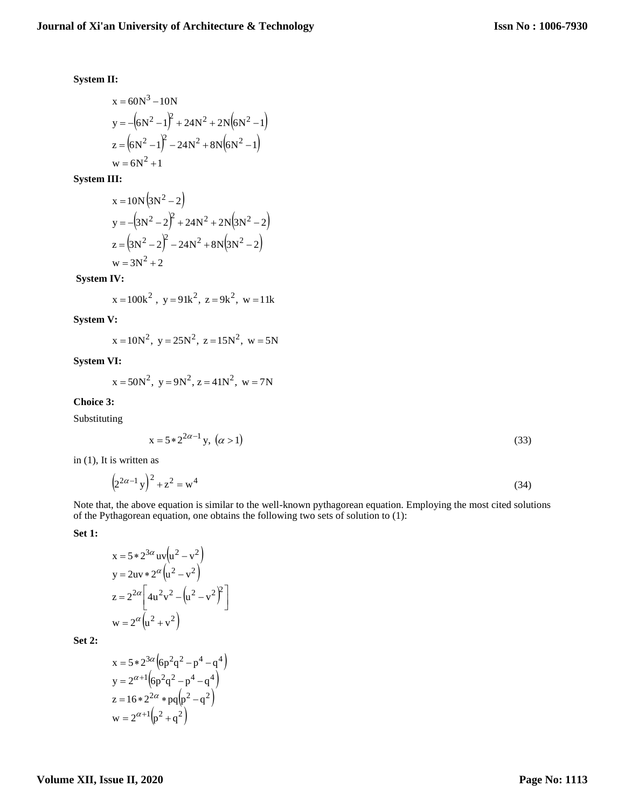# **System II:**

$$
x = 60N3 - 10N
$$
  
\n
$$
y = -(6N2 - 1)2 + 24N2 + 2N(6N2 - 1)
$$
  
\n
$$
z = (6N2 - 1)2 - 24N2 + 8N(6N2 - 1)
$$
  
\n
$$
w = 6N2 + 1
$$

**System III:**

$$
x = 10N(3N2 - 2)
$$
  
\n
$$
y = -(3N2 - 2)2 + 24N2 + 2N(3N2 - 2)
$$
  
\n
$$
z = (3N2 - 2)2 - 24N2 + 8N(3N2 - 2)
$$
  
\n
$$
w = 3N2 + 2
$$

**System IV:** 

$$
x = 100k^2
$$
,  $y = 91k^2$ ,  $z = 9k^2$ ,  $w = 11k$ 

**System V:**

$$
x = 10N^2
$$
,  $y = 25N^2$ ,  $z = 15N^2$ ,  $w = 5N$ 

**System VI:**

$$
x = 50N^2
$$
,  $y = 9N^2$ ,  $z = 41N^2$ ,  $w = 7N$ 

**Choice 3:**

Substituting

$$
x = 5 \times 2^{2\alpha - 1} y, \ (\alpha > 1)
$$
 (33)

in (1), It is written as

$$
(2^{2\alpha - 1} y)^2 + z^2 = w^4
$$
 (34)

Note that, the above equation is similar to the well-known pythagorean equation. Employing the most cited solutions of the Pythagorean equation, one obtains the following two sets of solution to (1):

**Set 1:**

$$
x = 5 * 23α uv (u2 – v2)
$$
  
\n
$$
y = 2uv * 2α (u2 – v2)
$$
  
\n
$$
z = 22α [ 4u2 v2 – (u2 – v2)2 ]
$$
  
\n
$$
w = 2α (u2 + v2)
$$

**Set 2:**

$$
x = 5 * 23α (6p2q2 – p4 – q4)
$$
  
\n
$$
y = 2α+1 (6p2q2 – p4 – q4)
$$
  
\n
$$
z = 16 * 22α * pq(p2 – q2)
$$
  
\n
$$
w = 2α+1 (p2 + q2)
$$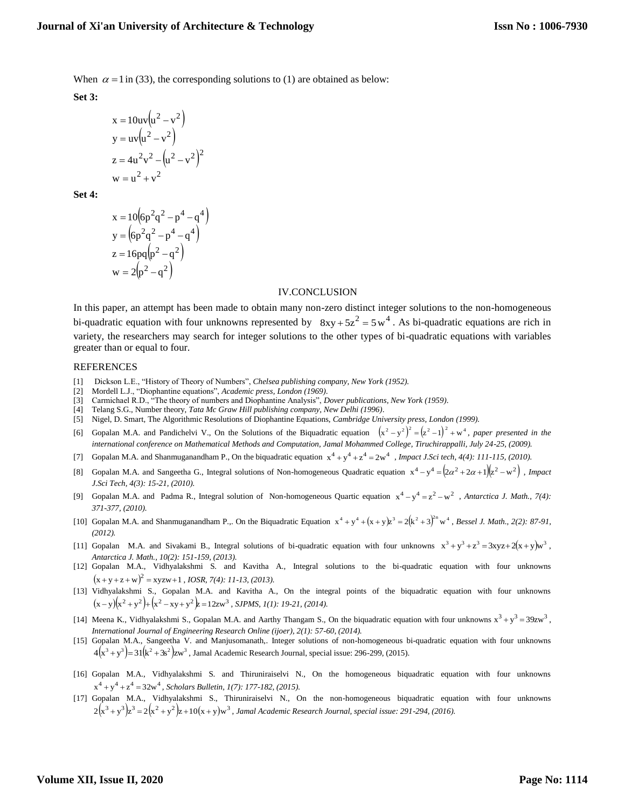When  $\alpha = 1$  in (33), the corresponding solutions to (1) are obtained as below:

**Set 3:**

$$
x = 10uv(u2 - v2)
$$
  
\n
$$
y = uv(u2 - v2)
$$
  
\n
$$
z = 4u2v2 - (u2 - v2)2
$$
  
\n
$$
w = u2 + v2
$$

**Set 4:**

$$
x = 10(6p2q2 - p4 - q4)
$$
  
\n
$$
y = (6p2q2 - p4 - q4)
$$
  
\n
$$
z = 16pq(p2 - q2)
$$
  
\n
$$
w = 2(p2 - q2)
$$

#### IV.CONCLUSION

In this paper, an attempt has been made to obtain many non-zero distinct integer solutions to the non-homogeneous bi-quadratic equation with four unknowns represented by  $8xy + 5z^2 = 5w^4$ . As bi-quadratic equations are rich in variety, the researchers may search for integer solutions to the other types of bi-quadratic equations with variables greater than or equal to four.

#### REFERENCES

- [1] Dickson L.E., "History of Theory of Numbers", *Chelsea publishing company, New York (1952).*
- [2] Mordell L.J., "Diophantine equations", *Academic press, London (1969)*.
- [3] Carmichael R.D., "The theory of numbers and Diophantine Analysis", *Dover publications, New York (1959)*.
- [4] Telang S.G., Number theory, *Tata Mc Graw Hill publishing company, New Delhi (1996)*.
- [5] Nigel, D. Smart, The Algorithmic Resolutions of Diophantine Equations, *Cambridge University press, London (1999).*
- [6] Gopalan M.A. and Pandichelvi V., On the Solutions of the Biquadratic equation  $(x^2 y^2)^2 = (z^2 1)^2 + w^4$ , paper presented in the *international conference on Mathematical Methods and Computation, Jamal Mohammed College, Tiruchirappalli, July 24-25, (2009).*
- [7] Gopalan M.A. and Shanmuganandham P., On the biquadratic equation  $x^4 + y^4 + z^4 = 2w^4$ , *Impact J.Sci tech, 4(4): 111-115, (2010).*
- [8] Gopalan M.A. and Sangeetha G., Integral solutions of Non-homogeneous Quadratic equation  $x^4 y^4 = (2\alpha^2 + 2\alpha + 1)(z^2 w^2)$ , *Impact J.Sci Tech, 4(3): 15-21, (2010).*
- [9] Gopalan M.A. and Padma R., Integral solution of Non-homogeneous Quartic equation  $x^4 y^4 = z^2 w^2$ , *Antarctica J. Math., 7(4)*: *371-377, (2010).*
- [10] Gopalan M.A. and Shanmuganandham P.,. On the Biquadratic Equation  $x^4 + y^4 + (x + y)z^3 = 2(k^2 + 3)^{2n} w^4$ , *Bessel J. Math., 2(2): 87-91*, *(2012).*
- [11] Gopalan M.A. and Sivakami B., Integral solutions of bi-quadratic equation with four unknowns  $x^3 + y^3 + z^3 = 3xyz + 2(x + y)w^3$ , *Antarctica J. Math., 10(2): 151-159, (2013).*
- [12] Gopalan M.A., Vidhyalakshmi S. and Kavitha A., Integral solutions to the bi-quadratic equation with four unknowns  $(x+y+z+w)^2 = xyzw+1$ , *IOSR*, 7(4): 11-13, (2013).
- [13] Vidhyalakshmi S., Gopalan M.A. and Kavitha A., On the integral points of the biquadratic equation with four unknowns  $(x-y)(x^2+y^2)+(x^2-xy+y^2)z=12zw^3$ , *SJPMS, 1(1): 19-21, (2014).*
- [14] Meena K., Vidhyalakshmi S., Gopalan M.A. and Aarthy Thangam S., On the biquadratic equation with four unknowns  $x^3 + y^3 = 39zw^3$ , *International Journal of Engineering Research Online (ijoer), 2(1): 57-60, (2014).*
- [15] Gopalan M.A., Sangeetha V. and Manjusomanath,. Integer solutions of non-homogeneous bi-quadratic equation with four unknowns  $4(x^3 + y^3) = 31(k^2 + 3s^2)zw^3$ , Jamal Academic Research Journal, special issue: 296-299, (2015).
- [16] Gopalan M.A., Vidhyalakshmi S. and Thiruniraiselvi N., On the homogeneous biquadratic equation with four unknowns  $x^4 + y^4 + z^4 = 32w^4$ , *Scholars Bulletin, 1(7): 177-182, (2015).*
- [17] Gopalan M.A., Vidhyalakshmi S., Thiruniraiselvi N., On the non-homogeneous biquadratic equation with four unknowns  $2(x^3+y^3)z^3 = 2(x^2+y^2)z+10(x+y)w^3$ , Jamal Academic Research Journal, special issue: 291-294, (2016).